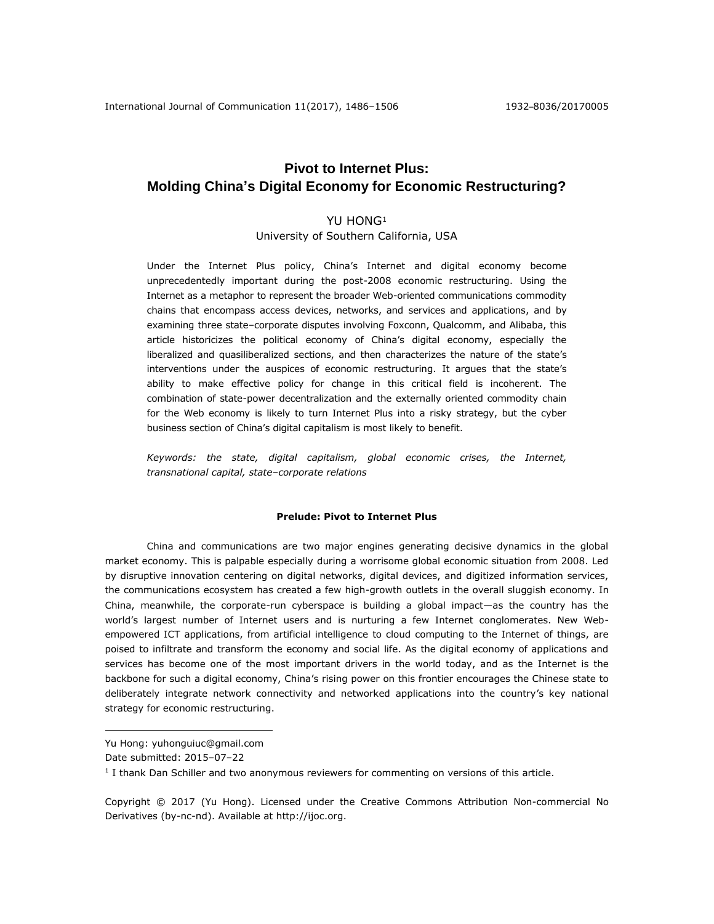# **Pivot to Internet Plus: Molding China's Digital Economy for Economic Restructuring?**

# YU HONG<sup>1</sup>

University of Southern California, USA

Under the Internet Plus policy, China's Internet and digital economy become unprecedentedly important during the post-2008 economic restructuring. Using the Internet as a metaphor to represent the broader Web-oriented communications commodity chains that encompass access devices, networks, and services and applications, and by examining three state–corporate disputes involving Foxconn, Qualcomm, and Alibaba, this article historicizes the political economy of China's digital economy, especially the liberalized and quasiliberalized sections, and then characterizes the nature of the state's interventions under the auspices of economic restructuring. It argues that the state's ability to make effective policy for change in this critical field is incoherent. The combination of state-power decentralization and the externally oriented commodity chain for the Web economy is likely to turn Internet Plus into a risky strategy, but the cyber business section of China's digital capitalism is most likely to benefit.

*Keywords: the state, digital capitalism, global economic crises, the Internet, transnational capital, state–corporate relations*

## **Prelude: Pivot to Internet Plus**

China and communications are two major engines generating decisive dynamics in the global market economy. This is palpable especially during a worrisome global economic situation from 2008. Led by disruptive innovation centering on digital networks, digital devices, and digitized information services, the communications ecosystem has created a few high-growth outlets in the overall sluggish economy. In China, meanwhile, the corporate-run cyberspace is building a global impact—as the country has the world's largest number of Internet users and is nurturing a few Internet conglomerates. New Webempowered ICT applications, from artificial intelligence to cloud computing to the Internet of things, are poised to infiltrate and transform the economy and social life. As the digital economy of applications and services has become one of the most important drivers in the world today, and as the Internet is the backbone for such a digital economy, China's rising power on this frontier encourages the Chinese state to deliberately integrate network connectivity and networked applications into the country's key national strategy for economic restructuring.

 $\overline{a}$ 

Copyright © 2017 (Yu Hong). Licensed under the Creative Commons Attribution Non-commercial No Derivatives (by-nc-nd). Available at [http://ijoc.org.](http://ijoc.org/)

Yu Hong: yuhonguiuc@gmail.com

Date submitted: 2015–07–22

<sup>&</sup>lt;sup>1</sup> I thank Dan Schiller and two anonymous reviewers for commenting on versions of this article.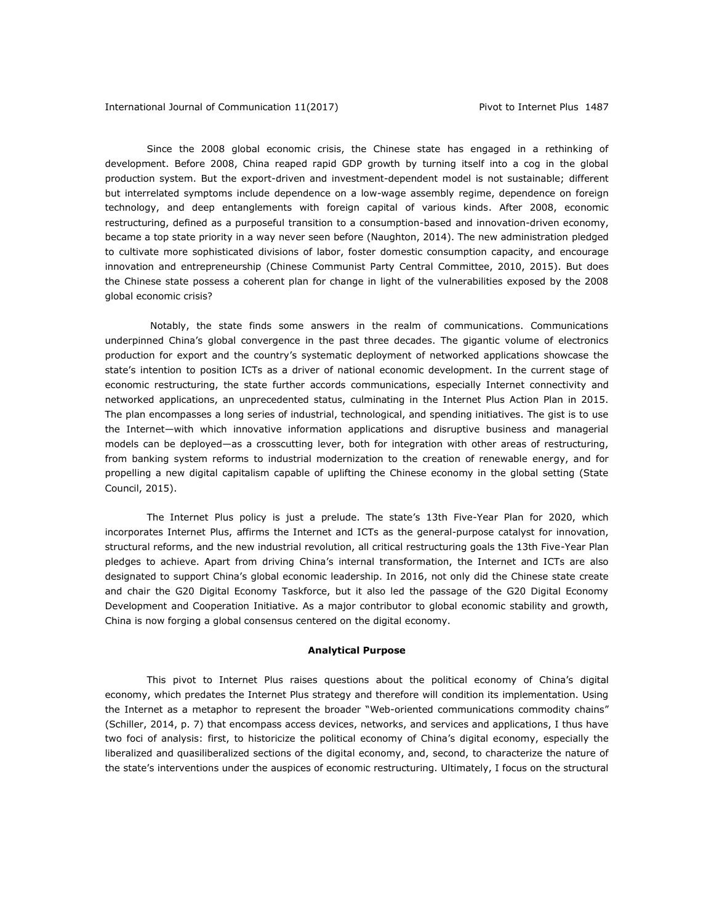Since the 2008 global economic crisis, the Chinese state has engaged in a rethinking of development. Before 2008, China reaped rapid GDP growth by turning itself into a cog in the global production system. But the export-driven and investment-dependent model is not sustainable; different but interrelated symptoms include dependence on a low-wage assembly regime, dependence on foreign technology, and deep entanglements with foreign capital of various kinds. After 2008, economic restructuring, defined as a purposeful transition to a consumption-based and innovation-driven economy, became a top state priority in a way never seen before (Naughton, 2014). The new administration pledged to cultivate more sophisticated divisions of labor, foster domestic consumption capacity, and encourage innovation and entrepreneurship (Chinese Communist Party Central Committee, 2010, 2015). But does the Chinese state possess a coherent plan for change in light of the vulnerabilities exposed by the 2008 global economic crisis?

Notably, the state finds some answers in the realm of communications. Communications underpinned China's global convergence in the past three decades. The gigantic volume of electronics production for export and the country's systematic deployment of networked applications showcase the state's intention to position ICTs as a driver of national economic development. In the current stage of economic restructuring, the state further accords communications, especially Internet connectivity and networked applications, an unprecedented status, culminating in the Internet Plus Action Plan in 2015. The plan encompasses a long series of industrial, technological, and spending initiatives. The gist is to use the Internet—with which innovative information applications and disruptive business and managerial models can be deployed—as a crosscutting lever, both for integration with other areas of restructuring, from banking system reforms to industrial modernization to the creation of renewable energy, and for propelling a new digital capitalism capable of uplifting the Chinese economy in the global setting (State Council, 2015).

The Internet Plus policy is just a prelude. The state's 13th Five-Year Plan for 2020, which incorporates Internet Plus, affirms the Internet and ICTs as the general-purpose catalyst for innovation, structural reforms, and the new industrial revolution, all critical restructuring goals the 13th Five-Year Plan pledges to achieve. Apart from driving China's internal transformation, the Internet and ICTs are also designated to support China's global economic leadership. In 2016, not only did the Chinese state create and chair the G20 Digital Economy Taskforce, but it also led the passage of the G20 Digital Economy Development and Cooperation Initiative. As a major contributor to global economic stability and growth, China is now forging a global consensus centered on the digital economy.

### **Analytical Purpose**

This pivot to Internet Plus raises questions about the political economy of China's digital economy, which predates the Internet Plus strategy and therefore will condition its implementation. Using the Internet as a metaphor to represent the broader "Web-oriented communications commodity chains" (Schiller, 2014, p. 7) that encompass access devices, networks, and services and applications, I thus have two foci of analysis: first, to historicize the political economy of China's digital economy, especially the liberalized and quasiliberalized sections of the digital economy, and, second, to characterize the nature of the state's interventions under the auspices of economic restructuring. Ultimately, I focus on the structural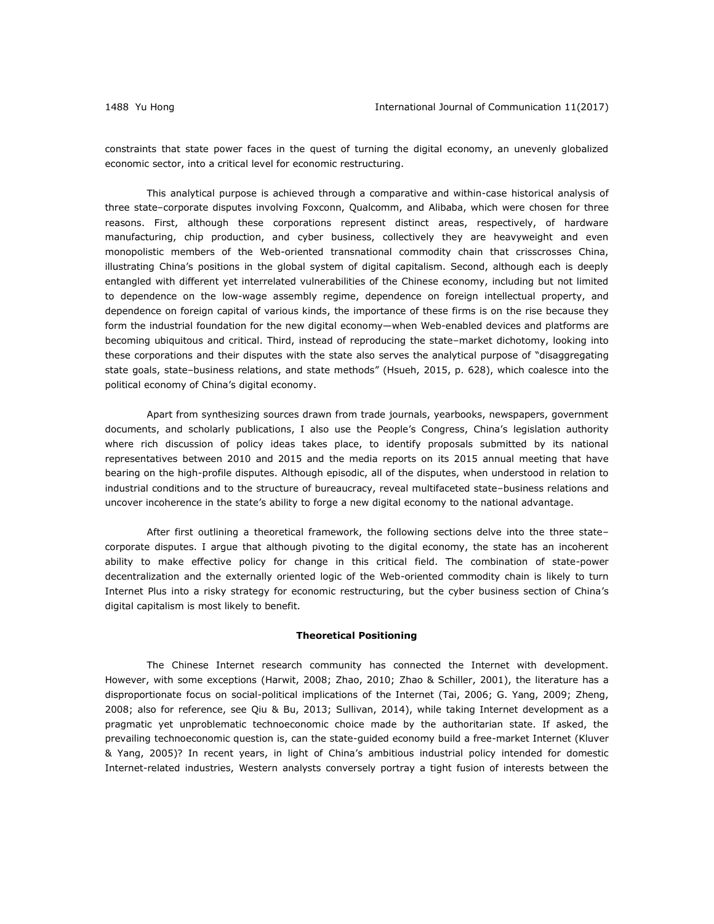constraints that state power faces in the quest of turning the digital economy, an unevenly globalized economic sector, into a critical level for economic restructuring.

This analytical purpose is achieved through a comparative and within-case historical analysis of three state–corporate disputes involving Foxconn, Qualcomm, and Alibaba, which were chosen for three reasons. First, although these corporations represent distinct areas, respectively, of hardware manufacturing, chip production, and cyber business, collectively they are heavyweight and even monopolistic members of the Web-oriented transnational commodity chain that crisscrosses China, illustrating China's positions in the global system of digital capitalism. Second, although each is deeply entangled with different yet interrelated vulnerabilities of the Chinese economy, including but not limited to dependence on the low-wage assembly regime, dependence on foreign intellectual property, and dependence on foreign capital of various kinds, the importance of these firms is on the rise because they form the industrial foundation for the new digital economy—when Web-enabled devices and platforms are becoming ubiquitous and critical. Third, instead of reproducing the state–market dichotomy, looking into these corporations and their disputes with the state also serves the analytical purpose of "disaggregating state goals, state–business relations, and state methods" (Hsueh, 2015, p. 628), which coalesce into the political economy of China's digital economy.

Apart from synthesizing sources drawn from trade journals, yearbooks, newspapers, government documents, and scholarly publications, I also use the People's Congress, China's legislation authority where rich discussion of policy ideas takes place, to identify proposals submitted by its national representatives between 2010 and 2015 and the media reports on its 2015 annual meeting that have bearing on the high-profile disputes. Although episodic, all of the disputes, when understood in relation to industrial conditions and to the structure of bureaucracy, reveal multifaceted state–business relations and uncover incoherence in the state's ability to forge a new digital economy to the national advantage.

After first outlining a theoretical framework, the following sections delve into the three state– corporate disputes. I argue that although pivoting to the digital economy, the state has an incoherent ability to make effective policy for change in this critical field. The combination of state-power decentralization and the externally oriented logic of the Web-oriented commodity chain is likely to turn Internet Plus into a risky strategy for economic restructuring, but the cyber business section of China's digital capitalism is most likely to benefit.

# **Theoretical Positioning**

The Chinese Internet research community has connected the Internet with development. However, with some exceptions (Harwit, 2008; Zhao, 2010; Zhao & Schiller, 2001), the literature has a disproportionate focus on social-political implications of the Internet (Tai, 2006; G. Yang, 2009; Zheng, 2008; also for reference, see Qiu & Bu, 2013; Sullivan, 2014), while taking Internet development as a pragmatic yet unproblematic technoeconomic choice made by the authoritarian state. If asked, the prevailing technoeconomic question is, can the state-guided economy build a free-market Internet (Kluver & Yang, 2005)? In recent years, in light of China's ambitious industrial policy intended for domestic Internet-related industries, Western analysts conversely portray a tight fusion of interests between the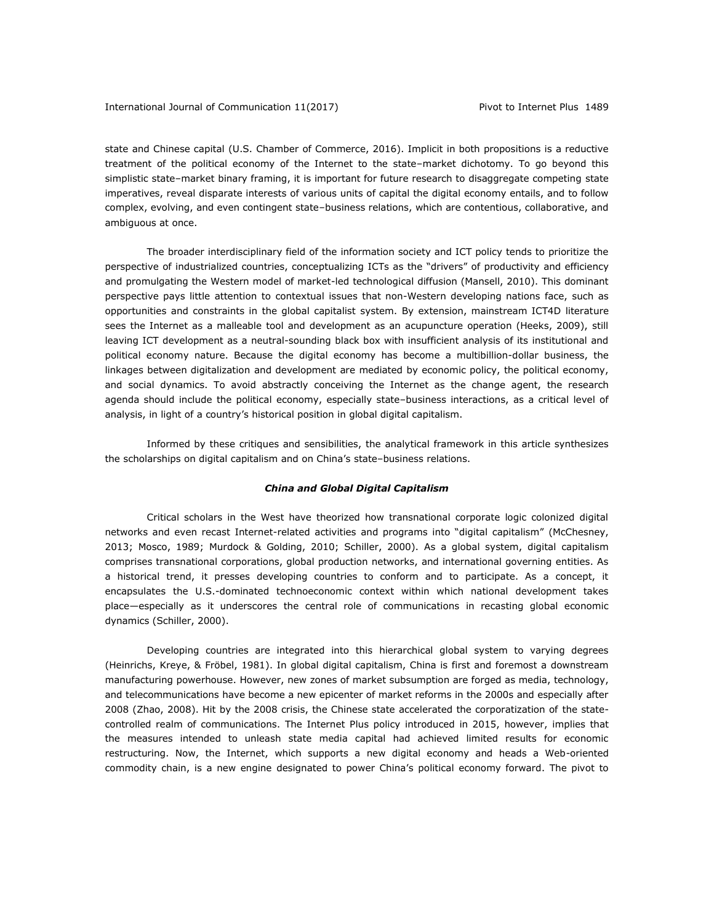state and Chinese capital (U.S. Chamber of Commerce, 2016). Implicit in both propositions is a reductive treatment of the political economy of the Internet to the state–market dichotomy. To go beyond this simplistic state–market binary framing, it is important for future research to disaggregate competing state imperatives, reveal disparate interests of various units of capital the digital economy entails, and to follow complex, evolving, and even contingent state–business relations, which are contentious, collaborative, and ambiguous at once.

The broader interdisciplinary field of the information society and ICT policy tends to prioritize the perspective of industrialized countries, conceptualizing ICTs as the "drivers" of productivity and efficiency and promulgating the Western model of market-led technological diffusion (Mansell, 2010). This dominant perspective pays little attention to contextual issues that non-Western developing nations face, such as opportunities and constraints in the global capitalist system. By extension, mainstream ICT4D literature sees the Internet as a malleable tool and development as an acupuncture operation (Heeks, 2009), still leaving ICT development as a neutral-sounding black box with insufficient analysis of its institutional and political economy nature. Because the digital economy has become a multibillion-dollar business, the linkages between digitalization and development are mediated by economic policy, the political economy, and social dynamics. To avoid abstractly conceiving the Internet as the change agent, the research agenda should include the political economy, especially state–business interactions, as a critical level of analysis, in light of a country's historical position in global digital capitalism.

Informed by these critiques and sensibilities, the analytical framework in this article synthesizes the scholarships on digital capitalism and on China's state–business relations.

# *China and Global Digital Capitalism*

Critical scholars in the West have theorized how transnational corporate logic colonized digital networks and even recast Internet-related activities and programs into "digital capitalism" (McChesney, 2013; Mosco, 1989; Murdock & Golding, 2010; Schiller, 2000). As a global system, digital capitalism comprises transnational corporations, global production networks, and international governing entities. As a historical trend, it presses developing countries to conform and to participate. As a concept, it encapsulates the U.S.-dominated technoeconomic context within which national development takes place—especially as it underscores the central role of communications in recasting global economic dynamics (Schiller, 2000).

Developing countries are integrated into this hierarchical global system to varying degrees (Heinrichs, Kreye, & Fröbel, 1981). In global digital capitalism, China is first and foremost a downstream manufacturing powerhouse. However, new zones of market subsumption are forged as media, technology, and telecommunications have become a new epicenter of market reforms in the 2000s and especially after 2008 (Zhao, 2008). Hit by the 2008 crisis, the Chinese state accelerated the corporatization of the statecontrolled realm of communications. The Internet Plus policy introduced in 2015, however, implies that the measures intended to unleash state media capital had achieved limited results for economic restructuring. Now, the Internet, which supports a new digital economy and heads a Web-oriented commodity chain, is a new engine designated to power China's political economy forward. The pivot to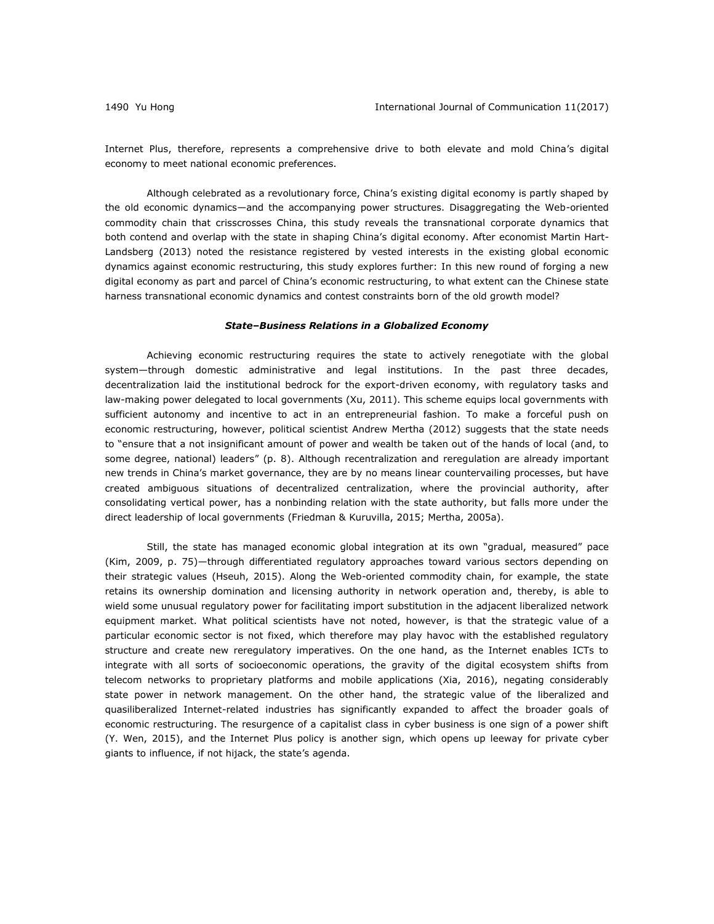Internet Plus, therefore, represents a comprehensive drive to both elevate and mold China's digital economy to meet national economic preferences.

Although celebrated as a revolutionary force, China's existing digital economy is partly shaped by the old economic dynamics—and the accompanying power structures. Disaggregating the Web-oriented commodity chain that crisscrosses China, this study reveals the transnational corporate dynamics that both contend and overlap with the state in shaping China's digital economy. After economist Martin Hart-Landsberg (2013) noted the resistance registered by vested interests in the existing global economic dynamics against economic restructuring, this study explores further: In this new round of forging a new digital economy as part and parcel of China's economic restructuring, to what extent can the Chinese state harness transnational economic dynamics and contest constraints born of the old growth model?

## *State–Business Relations in a Globalized Economy*

Achieving economic restructuring requires the state to actively renegotiate with the global system—through domestic administrative and legal institutions. In the past three decades, decentralization laid the institutional bedrock for the export-driven economy, with regulatory tasks and law-making power delegated to local governments (Xu, 2011). This scheme equips local governments with sufficient autonomy and incentive to act in an entrepreneurial fashion. To make a forceful push on economic restructuring, however, political scientist Andrew Mertha (2012) suggests that the state needs to "ensure that a not insignificant amount of power and wealth be taken out of the hands of local (and, to some degree, national) leaders" (p. 8). Although recentralization and reregulation are already important new trends in China's market governance, they are by no means linear countervailing processes, but have created ambiguous situations of decentralized centralization, where the provincial authority, after consolidating vertical power, has a nonbinding relation with the state authority, but falls more under the direct leadership of local governments (Friedman & Kuruvilla, 2015; Mertha, 2005a).

Still, the state has managed economic global integration at its own "gradual, measured" pace (Kim, 2009, p. 75)—through differentiated regulatory approaches toward various sectors depending on their strategic values (Hseuh, 2015). Along the Web-oriented commodity chain, for example, the state retains its ownership domination and licensing authority in network operation and, thereby, is able to wield some unusual regulatory power for facilitating import substitution in the adjacent liberalized network equipment market. What political scientists have not noted, however, is that the strategic value of a particular economic sector is not fixed, which therefore may play havoc with the established regulatory structure and create new reregulatory imperatives. On the one hand, as the Internet enables ICTs to integrate with all sorts of socioeconomic operations, the gravity of the digital ecosystem shifts from telecom networks to proprietary platforms and mobile applications (Xia, 2016), negating considerably state power in network management. On the other hand, the strategic value of the liberalized and quasiliberalized Internet-related industries has significantly expanded to affect the broader goals of economic restructuring. The resurgence of a capitalist class in cyber business is one sign of a power shift (Y. Wen, 2015), and the Internet Plus policy is another sign, which opens up leeway for private cyber giants to influence, if not hijack, the state's agenda.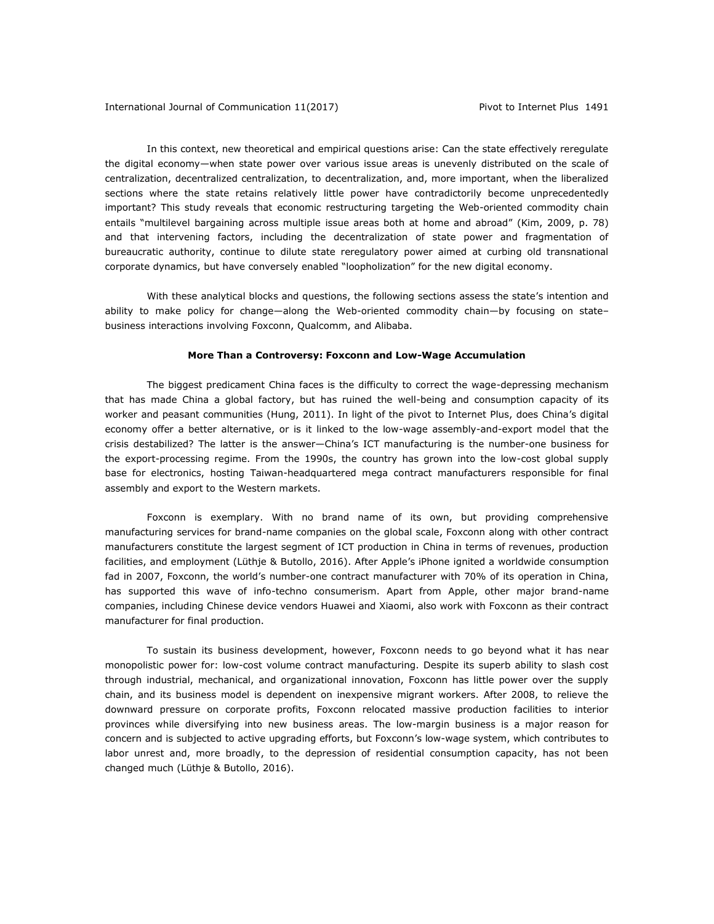In this context, new theoretical and empirical questions arise: Can the state effectively reregulate the digital economy—when state power over various issue areas is unevenly distributed on the scale of centralization, decentralized centralization, to decentralization, and, more important, when the liberalized sections where the state retains relatively little power have contradictorily become unprecedentedly important? This study reveals that economic restructuring targeting the Web-oriented commodity chain entails "multilevel bargaining across multiple issue areas both at home and abroad" (Kim, 2009, p. 78) and that intervening factors, including the decentralization of state power and fragmentation of bureaucratic authority, continue to dilute state reregulatory power aimed at curbing old transnational corporate dynamics, but have conversely enabled "loopholization" for the new digital economy.

With these analytical blocks and questions, the following sections assess the state's intention and ability to make policy for change—along the Web-oriented commodity chain—by focusing on state– business interactions involving Foxconn, Qualcomm, and Alibaba.

### **More Than a Controversy: Foxconn and Low-Wage Accumulation**

The biggest predicament China faces is the difficulty to correct the wage-depressing mechanism that has made China a global factory, but has ruined the well-being and consumption capacity of its worker and peasant communities (Hung, 2011). In light of the pivot to Internet Plus, does China's digital economy offer a better alternative, or is it linked to the low-wage assembly-and-export model that the crisis destabilized? The latter is the answer—China's ICT manufacturing is the number-one business for the export-processing regime. From the 1990s, the country has grown into the low-cost global supply base for electronics, hosting Taiwan-headquartered mega contract manufacturers responsible for final assembly and export to the Western markets.

Foxconn is exemplary. With no brand name of its own, but providing comprehensive manufacturing services for brand-name companies on the global scale, Foxconn along with other contract manufacturers constitute the largest segment of ICT production in China in terms of revenues, production facilities, and employment (Lüthje & Butollo, 2016). After Apple's iPhone ignited a worldwide consumption fad in 2007, Foxconn, the world's number-one contract manufacturer with 70% of its operation in China, has supported this wave of info-techno consumerism. Apart from Apple, other major brand-name companies, including Chinese device vendors Huawei and Xiaomi, also work with Foxconn as their contract manufacturer for final production.

To sustain its business development, however, Foxconn needs to go beyond what it has near monopolistic power for: low-cost volume contract manufacturing. Despite its superb ability to slash cost through industrial, mechanical, and organizational innovation, Foxconn has little power over the supply chain, and its business model is dependent on inexpensive migrant workers. After 2008, to relieve the downward pressure on corporate profits, Foxconn relocated massive production facilities to interior provinces while diversifying into new business areas. The low-margin business is a major reason for concern and is subjected to active upgrading efforts, but Foxconn's low-wage system, which contributes to labor unrest and, more broadly, to the depression of residential consumption capacity, has not been changed much (Lüthje & Butollo, 2016).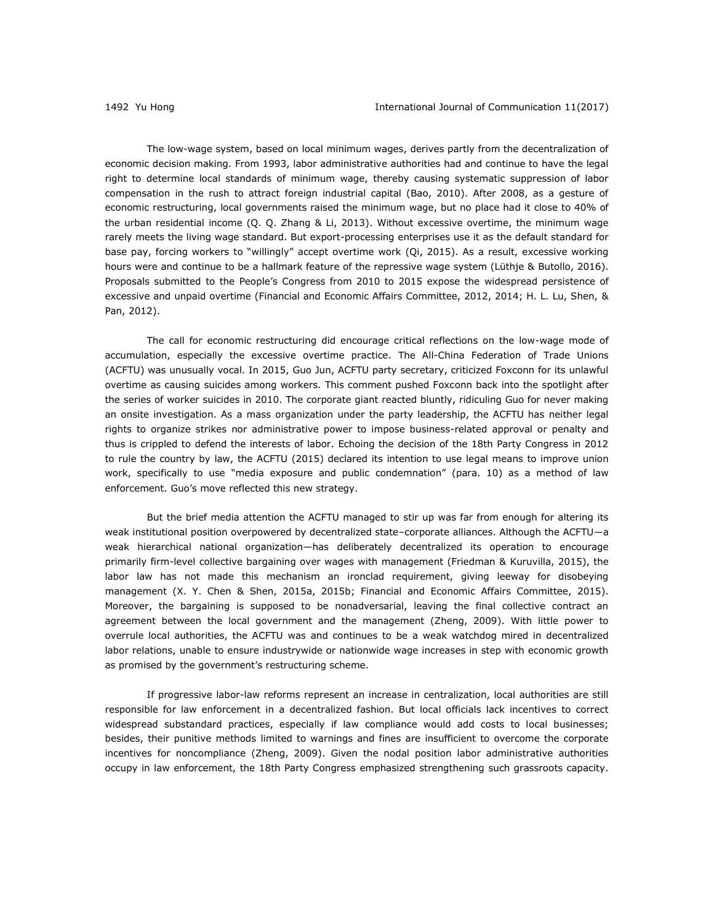The low-wage system, based on local minimum wages, derives partly from the decentralization of economic decision making. From 1993, labor administrative authorities had and continue to have the legal right to determine local standards of minimum wage, thereby causing systematic suppression of labor compensation in the rush to attract foreign industrial capital (Bao, 2010). After 2008, as a gesture of economic restructuring, local governments raised the minimum wage, but no place had it close to 40% of the urban residential income (Q. Q. Zhang & Li, 2013). Without excessive overtime, the minimum wage rarely meets the living wage standard. But export-processing enterprises use it as the default standard for base pay, forcing workers to "willingly" accept overtime work (Qi, 2015). As a result, excessive working hours were and continue to be a hallmark feature of the repressive wage system (Lüthje & Butollo, 2016). Proposals submitted to the People's Congress from 2010 to 2015 expose the widespread persistence of excessive and unpaid overtime (Financial and Economic Affairs Committee, 2012, 2014; H. L. Lu, Shen, & Pan, 2012).

The call for economic restructuring did encourage critical reflections on the low-wage mode of accumulation, especially the excessive overtime practice. The All-China Federation of Trade Unions (ACFTU) was unusually vocal. In 2015, Guo Jun, ACFTU party secretary, criticized Foxconn for its unlawful overtime as causing suicides among workers. This comment pushed Foxconn back into the spotlight after the series of worker suicides in 2010. The corporate giant reacted bluntly, ridiculing Guo for never making an onsite investigation. As a mass organization under the party leadership, the ACFTU has neither legal rights to organize strikes nor administrative power to impose business-related approval or penalty and thus is crippled to defend the interests of labor. Echoing the decision of the 18th Party Congress in 2012 to rule the country by law, the ACFTU (2015) declared its intention to use legal means to improve union work, specifically to use "media exposure and public condemnation" (para. 10) as a method of law enforcement. Guo's move reflected this new strategy.

But the brief media attention the ACFTU managed to stir up was far from enough for altering its weak institutional position overpowered by decentralized state–corporate alliances. Although the ACFTU—a weak hierarchical national organization—has deliberately decentralized its operation to encourage primarily firm-level collective bargaining over wages with management (Friedman & Kuruvilla, 2015), the labor law has not made this mechanism an ironclad requirement, giving leeway for disobeying management (X. Y. Chen & Shen, 2015a, 2015b; Financial and Economic Affairs Committee, 2015). Moreover, the bargaining is supposed to be nonadversarial, leaving the final collective contract an agreement between the local government and the management (Zheng, 2009). With little power to overrule local authorities, the ACFTU was and continues to be a weak watchdog mired in decentralized labor relations, unable to ensure industrywide or nationwide wage increases in step with economic growth as promised by the government's restructuring scheme.

If progressive labor-law reforms represent an increase in centralization, local authorities are still responsible for law enforcement in a decentralized fashion. But local officials lack incentives to correct widespread substandard practices, especially if law compliance would add costs to local businesses; besides, their punitive methods limited to warnings and fines are insufficient to overcome the corporate incentives for noncompliance (Zheng, 2009). Given the nodal position labor administrative authorities occupy in law enforcement, the 18th Party Congress emphasized strengthening such grassroots capacity.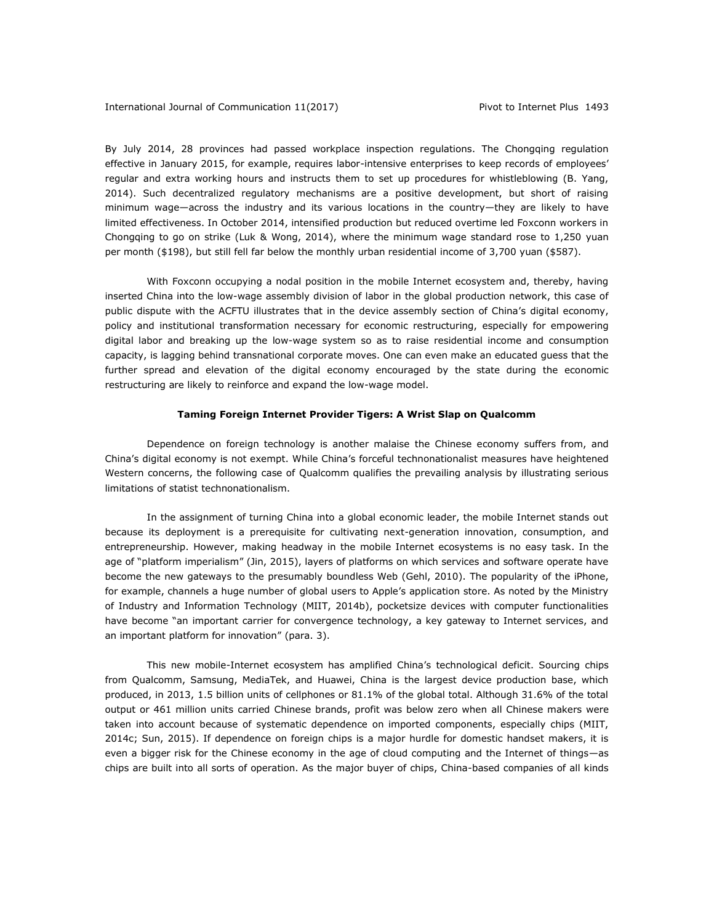By July 2014, 28 provinces had passed workplace inspection regulations. The Chongqing regulation effective in January 2015, for example, requires labor-intensive enterprises to keep records of employees' regular and extra working hours and instructs them to set up procedures for whistleblowing (B. Yang, 2014). Such decentralized regulatory mechanisms are a positive development, but short of raising minimum wage—across the industry and its various locations in the country—they are likely to have limited effectiveness. In October 2014, intensified production but reduced overtime led Foxconn workers in Chongqing to go on strike (Luk & Wong, 2014), where the minimum wage standard rose to 1,250 yuan per month (\$198), but still fell far below the monthly urban residential income of 3,700 yuan (\$587).

With Foxconn occupying a nodal position in the mobile Internet ecosystem and, thereby, having inserted China into the low-wage assembly division of labor in the global production network, this case of public dispute with the ACFTU illustrates that in the device assembly section of China's digital economy, policy and institutional transformation necessary for economic restructuring, especially for empowering digital labor and breaking up the low-wage system so as to raise residential income and consumption capacity, is lagging behind transnational corporate moves. One can even make an educated guess that the further spread and elevation of the digital economy encouraged by the state during the economic restructuring are likely to reinforce and expand the low-wage model.

# **Taming Foreign Internet Provider Tigers: A Wrist Slap on Qualcomm**

Dependence on foreign technology is another malaise the Chinese economy suffers from, and China's digital economy is not exempt. While China's forceful technonationalist measures have heightened Western concerns, the following case of Qualcomm qualifies the prevailing analysis by illustrating serious limitations of statist technonationalism.

In the assignment of turning China into a global economic leader, the mobile Internet stands out because its deployment is a prerequisite for cultivating next-generation innovation, consumption, and entrepreneurship. However, making headway in the mobile Internet ecosystems is no easy task. In the age of "platform imperialism" (Jin, 2015), layers of platforms on which services and software operate have become the new gateways to the presumably boundless Web (Gehl, 2010). The popularity of the iPhone, for example, channels a huge number of global users to Apple's application store. As noted by the Ministry of Industry and Information Technology (MIIT, 2014b), pocketsize devices with computer functionalities have become "an important carrier for convergence technology, a key gateway to Internet services, and an important platform for innovation" (para. 3).

This new mobile-Internet ecosystem has amplified China's technological deficit. Sourcing chips from Qualcomm, Samsung, MediaTek, and Huawei, China is the largest device production base, which produced, in 2013, 1.5 billion units of cellphones or 81.1% of the global total. Although 31.6% of the total output or 461 million units carried Chinese brands, profit was below zero when all Chinese makers were taken into account because of systematic dependence on imported components, especially chips (MIIT, 2014c; Sun, 2015). If dependence on foreign chips is a major hurdle for domestic handset makers, it is even a bigger risk for the Chinese economy in the age of cloud computing and the Internet of things—as chips are built into all sorts of operation. As the major buyer of chips, China-based companies of all kinds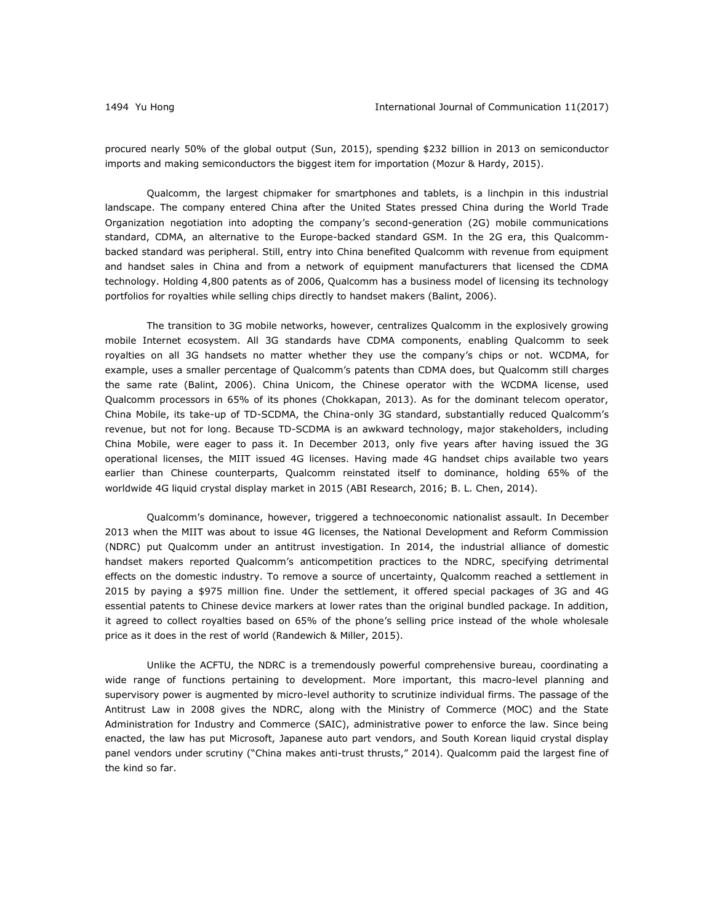procured nearly 50% of the global output (Sun, 2015), spending \$232 billion in 2013 on semiconductor imports and making semiconductors the biggest item for importation (Mozur & Hardy, 2015).

Qualcomm, the largest chipmaker for smartphones and tablets, is a linchpin in this industrial landscape. The company entered China after the United States pressed China during the World Trade Organization negotiation into adopting the company's second-generation (2G) mobile communications standard, CDMA, an alternative to the Europe-backed standard GSM. In the 2G era, this Qualcommbacked standard was peripheral. Still, entry into China benefited Qualcomm with revenue from equipment and handset sales in China and from a network of equipment manufacturers that licensed the CDMA technology. Holding 4,800 patents as of 2006, Qualcomm has a business model of licensing its technology portfolios for royalties while selling chips directly to handset makers (Balint, 2006).

The transition to 3G mobile networks, however, centralizes Qualcomm in the explosively growing mobile Internet ecosystem. All 3G standards have CDMA components, enabling Qualcomm to seek royalties on all 3G handsets no matter whether they use the company's chips or not. WCDMA, for example, uses a smaller percentage of Qualcomm's patents than CDMA does, but Qualcomm still charges the same rate (Balint, 2006). China Unicom, the Chinese operator with the WCDMA license, used Qualcomm processors in 65% of its phones (Chokkapan, 2013). As for the dominant telecom operator, China Mobile, its take-up of TD-SCDMA, the China-only 3G standard, substantially reduced Qualcomm's revenue, but not for long. Because TD-SCDMA is an awkward technology, major stakeholders, including China Mobile, were eager to pass it. In December 2013, only five years after having issued the 3G operational licenses, the MIIT issued 4G licenses. Having made 4G handset chips available two years earlier than Chinese counterparts, Qualcomm reinstated itself to dominance, holding 65% of the worldwide 4G liquid crystal display market in 2015 (ABI Research, 2016; B. L. Chen, 2014).

Qualcomm's dominance, however, triggered a technoeconomic nationalist assault. In December 2013 when the MIIT was about to issue 4G licenses, the National Development and Reform Commission (NDRC) put Qualcomm under an antitrust investigation. In 2014, the industrial alliance of domestic handset makers reported Qualcomm's anticompetition practices to the NDRC, specifying detrimental effects on the domestic industry. To remove a source of uncertainty, Qualcomm reached a settlement in 2015 by paying a \$975 million fine. Under the settlement, it offered special packages of 3G and 4G essential patents to Chinese device markers at lower rates than the original bundled package. In addition, it agreed to collect royalties based on 65% of the phone's selling price instead of the whole wholesale price as it does in the rest of world (Randewich & Miller, 2015).

Unlike the ACFTU, the NDRC is a tremendously powerful comprehensive bureau, coordinating a wide range of functions pertaining to development. More important, this macro-level planning and supervisory power is augmented by micro-level authority to scrutinize individual firms. The passage of the Antitrust Law in 2008 gives the NDRC, along with the Ministry of Commerce (MOC) and the State Administration for Industry and Commerce (SAIC), administrative power to enforce the law. Since being enacted, the law has put Microsoft, Japanese auto part vendors, and South Korean liquid crystal display panel vendors under scrutiny ("China makes anti-trust thrusts," 2014). Qualcomm paid the largest fine of the kind so far.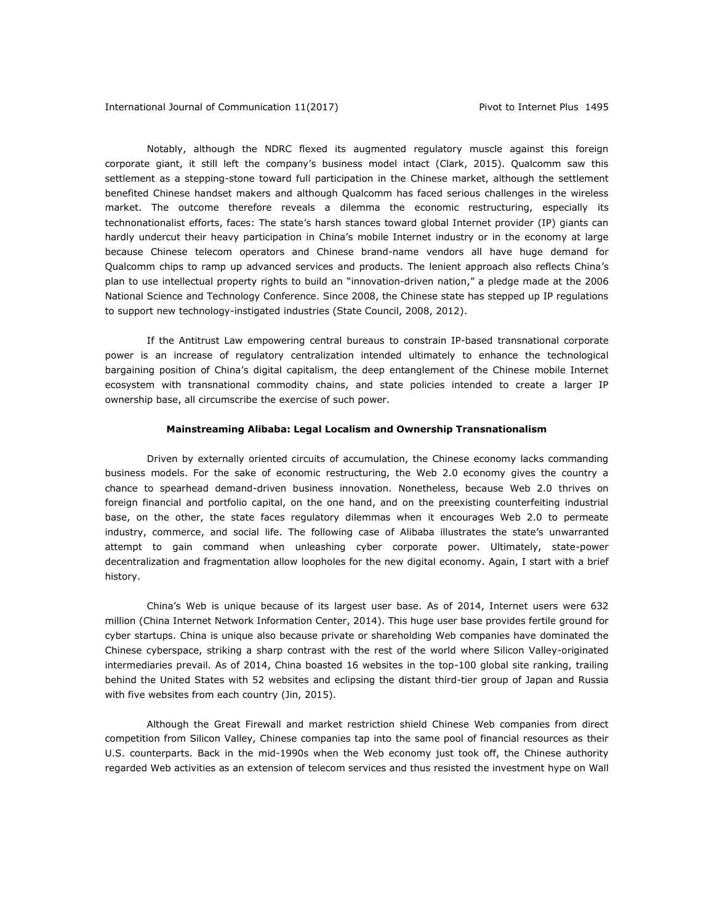Notably, although the NDRC flexed its augmented regulatory muscle against this foreign corporate giant, it still left the company's business model intact (Clark, 2015). Qualcomm saw this settlement as a stepping-stone toward full participation in the Chinese market, although the settlement benefited Chinese handset makers and although Qualcomm has faced serious challenges in the wireless market. The outcome therefore reveals a dilemma the economic restructuring, especially its technonationalist efforts, faces: The state's harsh stances toward global Internet provider (IP) giants can hardly undercut their heavy participation in China's mobile Internet industry or in the economy at large because Chinese telecom operators and Chinese brand-name vendors all have huge demand for Qualcomm chips to ramp up advanced services and products. The lenient approach also reflects China's plan to use intellectual property rights to build an "innovation-driven nation," a pledge made at the 2006 National Science and Technology Conference. Since 2008, the Chinese state has stepped up IP regulations to support new technology-instigated industries (State Council, 2008, 2012).

If the Antitrust Law empowering central bureaus to constrain IP-based transnational corporate power is an increase of regulatory centralization intended ultimately to enhance the technological bargaining position of China's digital capitalism, the deep entanglement of the Chinese mobile Internet ecosystem with transnational commodity chains, and state policies intended to create a larger IP ownership base, all circumscribe the exercise of such power.

# **Mainstreaming Alibaba: Legal Localism and Ownership Transnationalism**

Driven by externally oriented circuits of accumulation, the Chinese economy lacks commanding business models. For the sake of economic restructuring, the Web 2.0 economy gives the country a chance to spearhead demand-driven business innovation. Nonetheless, because Web 2.0 thrives on foreign financial and portfolio capital, on the one hand, and on the preexisting counterfeiting industrial base, on the other, the state faces regulatory dilemmas when it encourages Web 2.0 to permeate industry, commerce, and social life. The following case of Alibaba illustrates the state's unwarranted attempt to gain command when unleashing cyber corporate power. Ultimately, state-power decentralization and fragmentation allow loopholes for the new digital economy. Again, I start with a brief history.

China's Web is unique because of its largest user base. As of 2014, Internet users were 632 million (China Internet Network Information Center, 2014). This huge user base provides fertile ground for cyber startups. China is unique also because private or shareholding Web companies have dominated the Chinese cyberspace, striking a sharp contrast with the rest of the world where Silicon Valley-originated intermediaries prevail. As of 2014, China boasted 16 websites in the top-100 global site ranking, trailing behind the United States with 52 websites and eclipsing the distant third-tier group of Japan and Russia with five websites from each country (Jin, 2015).

Although the Great Firewall and market restriction shield Chinese Web companies from direct competition from Silicon Valley, Chinese companies tap into the same pool of financial resources as their U.S. counterparts. Back in the mid-1990s when the Web economy just took off, the Chinese authority regarded Web activities as an extension of telecom services and thus resisted the investment hype on Wall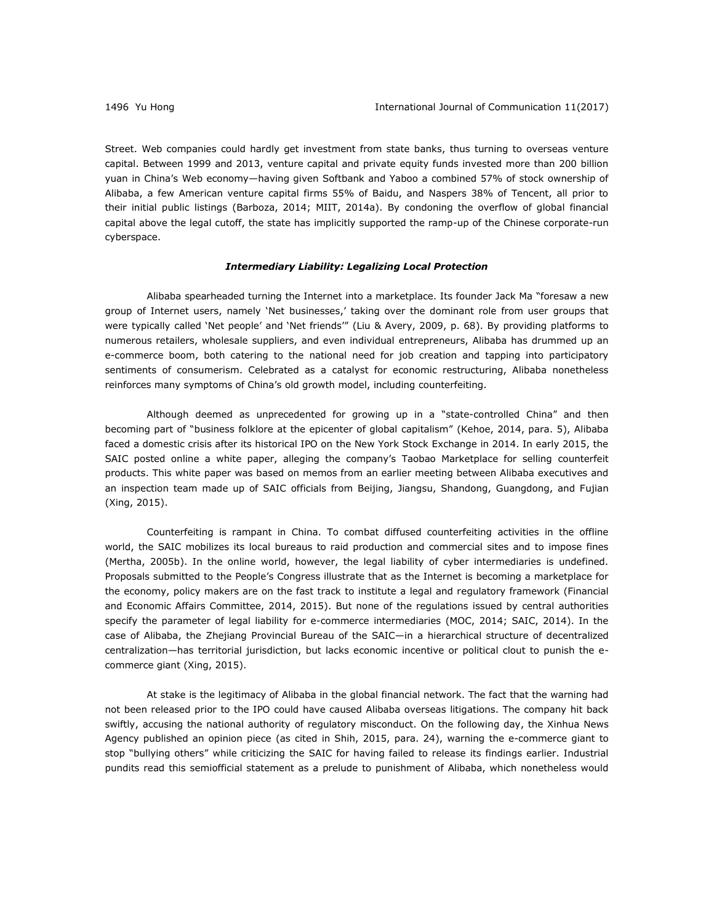Street. Web companies could hardly get investment from state banks, thus turning to overseas venture capital. Between 1999 and 2013, venture capital and private equity funds invested more than 200 billion yuan in China's Web economy—having given Softbank and Yaboo a combined 57% of stock ownership of Alibaba, a few American venture capital firms 55% of Baidu, and Naspers 38% of Tencent, all prior to their initial public listings (Barboza, 2014; MIIT, 2014a). By condoning the overflow of global financial capital above the legal cutoff, the state has implicitly supported the ramp-up of the Chinese corporate-run cyberspace.

### *Intermediary Liability: Legalizing Local Protection*

Alibaba spearheaded turning the Internet into a marketplace. Its founder Jack Ma "foresaw a new group of Internet users, namely 'Net businesses,' taking over the dominant role from user groups that were typically called 'Net people' and 'Net friends'" (Liu & Avery, 2009, p. 68). By providing platforms to numerous retailers, wholesale suppliers, and even individual entrepreneurs, Alibaba has drummed up an e-commerce boom, both catering to the national need for job creation and tapping into participatory sentiments of consumerism. Celebrated as a catalyst for economic restructuring, Alibaba nonetheless reinforces many symptoms of China's old growth model, including counterfeiting.

Although deemed as unprecedented for growing up in a "state-controlled China" and then becoming part of "business folklore at the epicenter of global capitalism" (Kehoe, 2014, para. 5), Alibaba faced a domestic crisis after its historical IPO on the New York Stock Exchange in 2014. In early 2015, the SAIC posted online a white paper, alleging the company's Taobao Marketplace for selling counterfeit products. This white paper was based on memos from an earlier meeting between Alibaba executives and an inspection team made up of SAIC officials from Beijing, Jiangsu, Shandong, Guangdong, and Fujian (Xing, 2015).

Counterfeiting is rampant in China. To combat diffused counterfeiting activities in the offline world, the SAIC mobilizes its local bureaus to raid production and commercial sites and to impose fines (Mertha, 2005b). In the online world, however, the legal liability of cyber intermediaries is undefined. Proposals submitted to the People's Congress illustrate that as the Internet is becoming a marketplace for the economy, policy makers are on the fast track to institute a legal and regulatory framework (Financial and Economic Affairs Committee, 2014, 2015). But none of the regulations issued by central authorities specify the parameter of legal liability for e-commerce intermediaries (MOC, 2014; SAIC, 2014). In the case of Alibaba, the Zhejiang Provincial Bureau of the SAIC—in a hierarchical structure of decentralized centralization—has territorial jurisdiction, but lacks economic incentive or political clout to punish the ecommerce giant (Xing, 2015).

At stake is the legitimacy of Alibaba in the global financial network. The fact that the warning had not been released prior to the IPO could have caused Alibaba overseas litigations. The company hit back swiftly, accusing the national authority of regulatory misconduct. On the following day, the Xinhua News Agency published an opinion piece (as cited in Shih, 2015, para. 24), warning the e-commerce giant to stop "bullying others" while criticizing the SAIC for having failed to release its findings earlier. Industrial pundits read this semiofficial statement as a prelude to punishment of Alibaba, which nonetheless would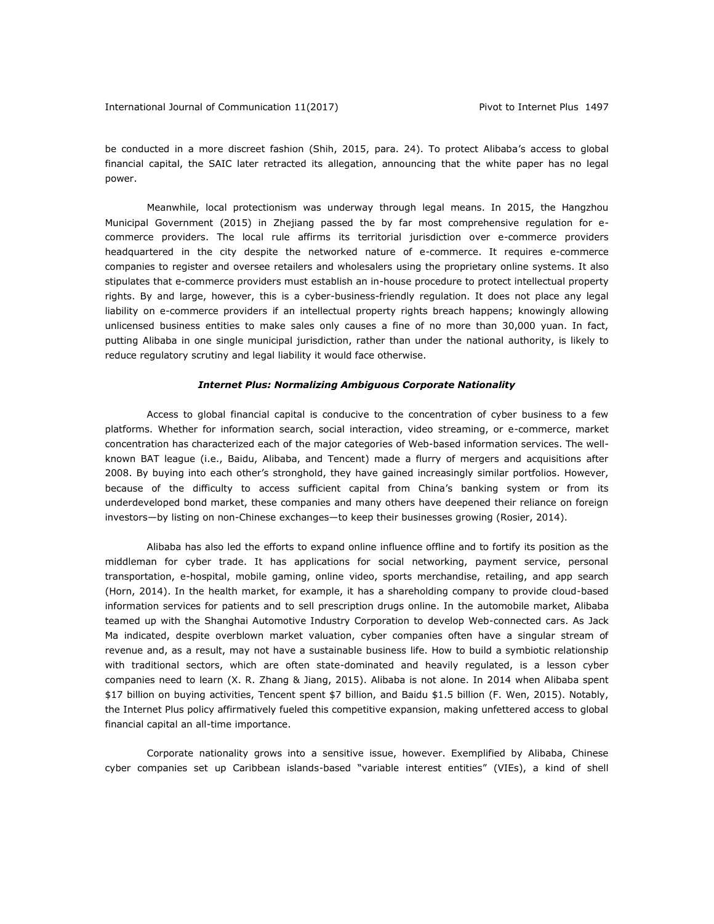be conducted in a more discreet fashion (Shih, 2015, para. 24). To protect Alibaba's access to global financial capital, the SAIC later retracted its allegation, announcing that the white paper has no legal power.

Meanwhile, local protectionism was underway through legal means. In 2015, the Hangzhou Municipal Government (2015) in Zhejiang passed the by far most comprehensive regulation for ecommerce providers. The local rule affirms its territorial jurisdiction over e-commerce providers headquartered in the city despite the networked nature of e-commerce. It requires e-commerce companies to register and oversee retailers and wholesalers using the proprietary online systems. It also stipulates that e-commerce providers must establish an in-house procedure to protect intellectual property rights. By and large, however, this is a cyber-business-friendly regulation. It does not place any legal liability on e-commerce providers if an intellectual property rights breach happens; knowingly allowing unlicensed business entities to make sales only causes a fine of no more than 30,000 yuan. In fact, putting Alibaba in one single municipal jurisdiction, rather than under the national authority, is likely to reduce regulatory scrutiny and legal liability it would face otherwise.

# *Internet Plus: Normalizing Ambiguous Corporate Nationality*

Access to global financial capital is conducive to the concentration of cyber business to a few platforms. Whether for information search, social interaction, video streaming, or e-commerce, market concentration has characterized each of the major categories of Web-based information services. The wellknown BAT league (i.e., Baidu, Alibaba, and Tencent) made a flurry of mergers and acquisitions after 2008. By buying into each other's stronghold, they have gained increasingly similar portfolios. However, because of the difficulty to access sufficient capital from China's banking system or from its underdeveloped bond market, these companies and many others have deepened their reliance on foreign investors—by listing on non-Chinese exchanges—to keep their businesses growing (Rosier, 2014).

Alibaba has also led the efforts to expand online influence offline and to fortify its position as the middleman for cyber trade. It has applications for social networking, payment service, personal transportation, e-hospital, mobile gaming, online video, sports merchandise, retailing, and app search (Horn, 2014). In the health market, for example, it has a shareholding company to provide cloud-based information services for patients and to sell prescription drugs online. In the automobile market, Alibaba teamed up with the Shanghai Automotive Industry Corporation to develop Web-connected cars. As Jack Ma indicated, despite overblown market valuation, cyber companies often have a singular stream of revenue and, as a result, may not have a sustainable business life. How to build a symbiotic relationship with traditional sectors, which are often state-dominated and heavily regulated, is a lesson cyber companies need to learn (X. R. Zhang & Jiang, 2015). Alibaba is not alone. In 2014 when Alibaba spent \$17 billion on buying activities, Tencent spent \$7 billion, and Baidu \$1.5 billion (F. Wen, 2015). Notably, the Internet Plus policy affirmatively fueled this competitive expansion, making unfettered access to global financial capital an all-time importance.

Corporate nationality grows into a sensitive issue, however. Exemplified by Alibaba, Chinese cyber companies set up Caribbean islands-based "variable interest entities" (VIEs), a kind of shell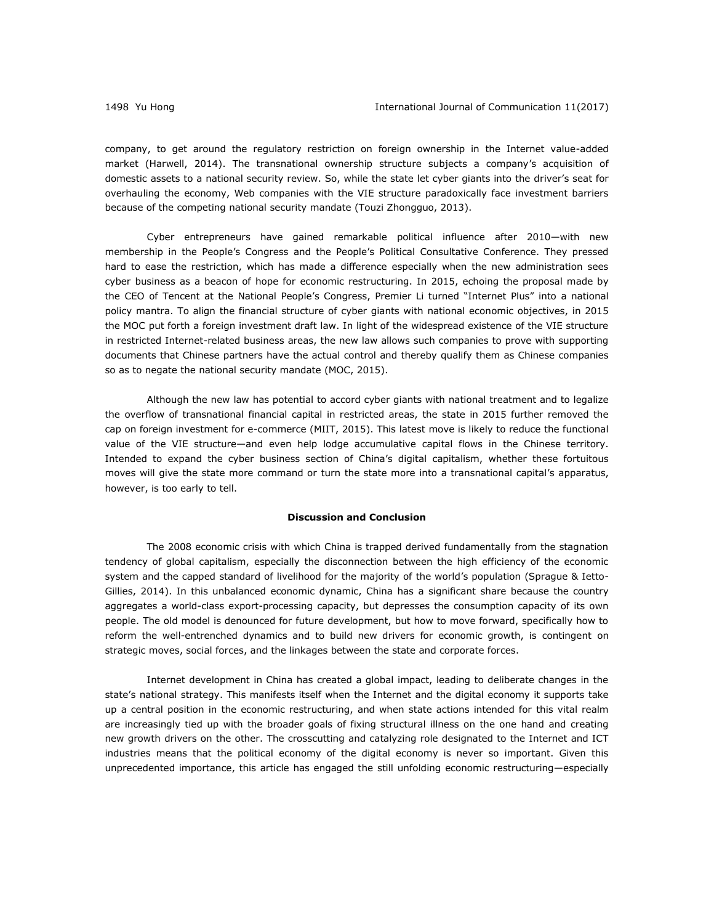company, to get around the regulatory restriction on foreign ownership in the Internet value-added market (Harwell, 2014). The transnational ownership structure subjects a company's acquisition of domestic assets to a national security review. So, while the state let cyber giants into the driver's seat for overhauling the economy, Web companies with the VIE structure paradoxically face investment barriers because of the competing national security mandate (Touzi Zhongguo, 2013).

Cyber entrepreneurs have gained remarkable political influence after 2010—with new membership in the People's Congress and the People's Political Consultative Conference. They pressed hard to ease the restriction, which has made a difference especially when the new administration sees cyber business as a beacon of hope for economic restructuring. In 2015, echoing the proposal made by the CEO of Tencent at the National People's Congress, Premier Li turned "Internet Plus" into a national policy mantra. To align the financial structure of cyber giants with national economic objectives, in 2015 the MOC put forth a foreign investment draft law. In light of the widespread existence of the VIE structure in restricted Internet-related business areas, the new law allows such companies to prove with supporting documents that Chinese partners have the actual control and thereby qualify them as Chinese companies so as to negate the national security mandate (MOC, 2015).

Although the new law has potential to accord cyber giants with national treatment and to legalize the overflow of transnational financial capital in restricted areas, the state in 2015 further removed the cap on foreign investment for e-commerce (MIIT, 2015). This latest move is likely to reduce the functional value of the VIE structure—and even help lodge accumulative capital flows in the Chinese territory. Intended to expand the cyber business section of China's digital capitalism, whether these fortuitous moves will give the state more command or turn the state more into a transnational capital's apparatus, however, is too early to tell.

### **Discussion and Conclusion**

The 2008 economic crisis with which China is trapped derived fundamentally from the stagnation tendency of global capitalism, especially the disconnection between the high efficiency of the economic system and the capped standard of livelihood for the majority of the world's population (Sprague & Ietto-Gillies, 2014). In this unbalanced economic dynamic, China has a significant share because the country aggregates a world-class export-processing capacity, but depresses the consumption capacity of its own people. The old model is denounced for future development, but how to move forward, specifically how to reform the well-entrenched dynamics and to build new drivers for economic growth, is contingent on strategic moves, social forces, and the linkages between the state and corporate forces.

Internet development in China has created a global impact, leading to deliberate changes in the state's national strategy. This manifests itself when the Internet and the digital economy it supports take up a central position in the economic restructuring, and when state actions intended for this vital realm are increasingly tied up with the broader goals of fixing structural illness on the one hand and creating new growth drivers on the other. The crosscutting and catalyzing role designated to the Internet and ICT industries means that the political economy of the digital economy is never so important. Given this unprecedented importance, this article has engaged the still unfolding economic restructuring—especially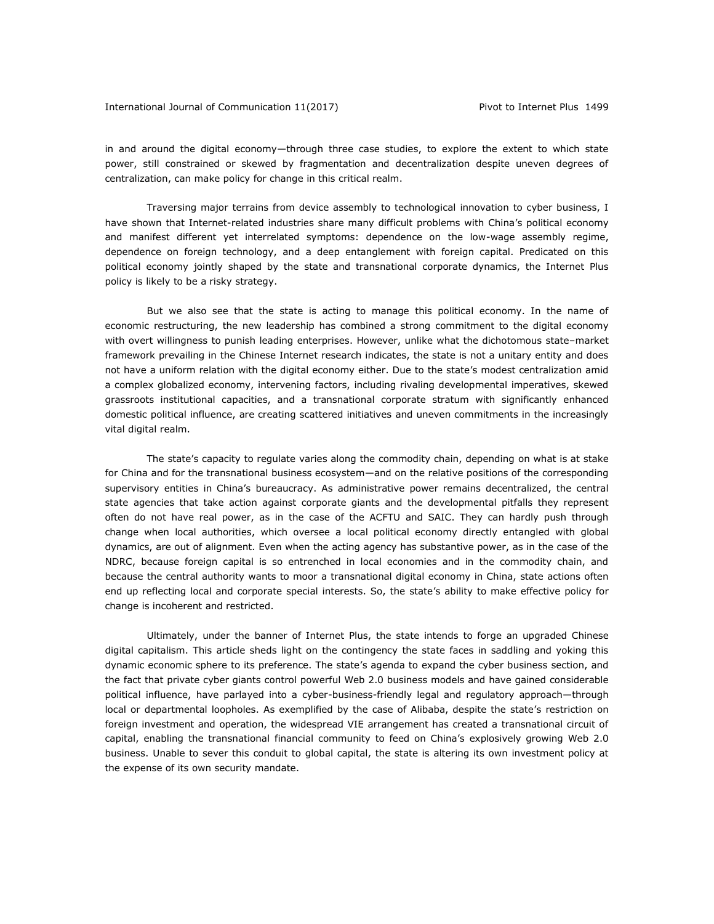in and around the digital economy—through three case studies, to explore the extent to which state power, still constrained or skewed by fragmentation and decentralization despite uneven degrees of centralization, can make policy for change in this critical realm.

Traversing major terrains from device assembly to technological innovation to cyber business, I have shown that Internet-related industries share many difficult problems with China's political economy and manifest different yet interrelated symptoms: dependence on the low-wage assembly regime, dependence on foreign technology, and a deep entanglement with foreign capital. Predicated on this political economy jointly shaped by the state and transnational corporate dynamics, the Internet Plus policy is likely to be a risky strategy.

But we also see that the state is acting to manage this political economy. In the name of economic restructuring, the new leadership has combined a strong commitment to the digital economy with overt willingness to punish leading enterprises. However, unlike what the dichotomous state–market framework prevailing in the Chinese Internet research indicates, the state is not a unitary entity and does not have a uniform relation with the digital economy either. Due to the state's modest centralization amid a complex globalized economy, intervening factors, including rivaling developmental imperatives, skewed grassroots institutional capacities, and a transnational corporate stratum with significantly enhanced domestic political influence, are creating scattered initiatives and uneven commitments in the increasingly vital digital realm.

The state's capacity to regulate varies along the commodity chain, depending on what is at stake for China and for the transnational business ecosystem—and on the relative positions of the corresponding supervisory entities in China's bureaucracy. As administrative power remains decentralized, the central state agencies that take action against corporate giants and the developmental pitfalls they represent often do not have real power, as in the case of the ACFTU and SAIC. They can hardly push through change when local authorities, which oversee a local political economy directly entangled with global dynamics, are out of alignment. Even when the acting agency has substantive power, as in the case of the NDRC, because foreign capital is so entrenched in local economies and in the commodity chain, and because the central authority wants to moor a transnational digital economy in China, state actions often end up reflecting local and corporate special interests. So, the state's ability to make effective policy for change is incoherent and restricted.

Ultimately, under the banner of Internet Plus, the state intends to forge an upgraded Chinese digital capitalism. This article sheds light on the contingency the state faces in saddling and yoking this dynamic economic sphere to its preference. The state's agenda to expand the cyber business section, and the fact that private cyber giants control powerful Web 2.0 business models and have gained considerable political influence, have parlayed into a cyber-business-friendly legal and regulatory approach—through local or departmental loopholes. As exemplified by the case of Alibaba, despite the state's restriction on foreign investment and operation, the widespread VIE arrangement has created a transnational circuit of capital, enabling the transnational financial community to feed on China's explosively growing Web 2.0 business. Unable to sever this conduit to global capital, the state is altering its own investment policy at the expense of its own security mandate.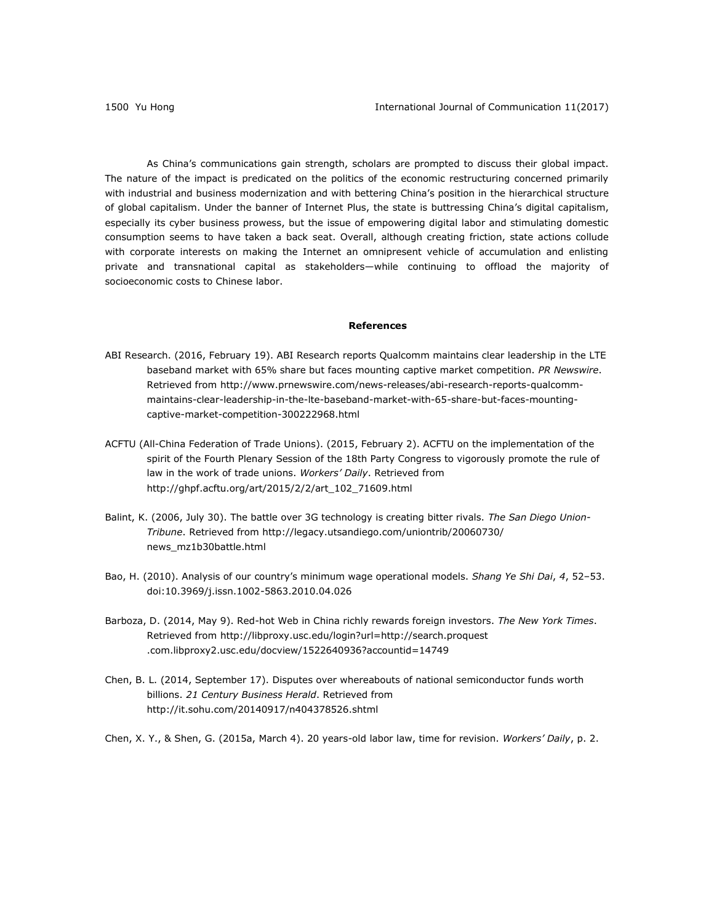As China's communications gain strength, scholars are prompted to discuss their global impact. The nature of the impact is predicated on the politics of the economic restructuring concerned primarily with industrial and business modernization and with bettering China's position in the hierarchical structure of global capitalism. Under the banner of Internet Plus, the state is buttressing China's digital capitalism, especially its cyber business prowess, but the issue of empowering digital labor and stimulating domestic consumption seems to have taken a back seat. Overall, although creating friction, state actions collude with corporate interests on making the Internet an omnipresent vehicle of accumulation and enlisting private and transnational capital as stakeholders—while continuing to offload the majority of socioeconomic costs to Chinese labor.

# **References**

- ABI Research. (2016, February 19). ABI Research reports Qualcomm maintains clear leadership in the LTE baseband market with 65% share but faces mounting captive market competition. *PR Newswire*. Retrieved from [http://www.prnewswire.com/news-releases/abi-research-reports-qualcomm](http://www.prnewswire.com/news-releases/abi-research-reports-qualcomm-maintains-clear-leadership-in-the-lte-baseband-market-with-65-share-but-faces-mounting-captive-market-competition-300222968.html)[maintains-clear-leadership-in-the-lte-baseband-market-with-65-share-but-faces-mounting](http://www.prnewswire.com/news-releases/abi-research-reports-qualcomm-maintains-clear-leadership-in-the-lte-baseband-market-with-65-share-but-faces-mounting-captive-market-competition-300222968.html)[captive-market-competition-300222968.html](http://www.prnewswire.com/news-releases/abi-research-reports-qualcomm-maintains-clear-leadership-in-the-lte-baseband-market-with-65-share-but-faces-mounting-captive-market-competition-300222968.html)
- ACFTU (All-China Federation of Trade Unions). (2015, February 2). ACFTU on the implementation of the spirit of the Fourth Plenary Session of the 18th Party Congress to vigorously promote the rule of law in the work of trade unions. *Workers' Daily*. Retrieved from [http://ghpf.acftu.org/art/2015/2/2/art\\_102\\_71609.html](http://ghpf.acftu.org/art/2015/2/2/art_102_71609.html)
- Balint, K. (2006, July 30). The battle over 3G technology is creating bitter rivals. *The San Diego Union-Tribune*. Retrieved from [http://legacy.utsandiego.com/uniontrib/20060730/](http://legacy.utsandiego.com/uniontrib/20060730/%0bnews_mz1b30battle.html) [news\\_mz1b30battle.html](http://legacy.utsandiego.com/uniontrib/20060730/%0bnews_mz1b30battle.html)
- Bao, H. (2010). Analysis of our country's minimum wage operational models. *Shang Ye Shi Dai*, *4*, 52‒53. doi:10.3969/j.issn.1002-5863.2010.04.026
- Barboza, D. (2014, May 9). Red-hot Web in China richly rewards foreign investors. *The New York Times*. Retrieved from [http://libproxy.usc.edu/login?url=http://search.proquest](http://libproxy.usc.edu/login?url=http://search.proquest%0b.com.libproxy2.usc.edu/docview/1522640936?accountid=14749) [.com.libproxy2.usc.edu/docview/1522640936?accountid=14749](http://libproxy.usc.edu/login?url=http://search.proquest%0b.com.libproxy2.usc.edu/docview/1522640936?accountid=14749)
- Chen, B. L. (2014, September 17). Disputes over whereabouts of national semiconductor funds worth billions. *21 Century Business Herald*. Retrieved from <http://it.sohu.com/20140917/n404378526.shtml>
- Chen, X. Y., & Shen, G. (2015a, March 4). 20 years-old labor law, time for revision. *Workers' Daily*, p. 2.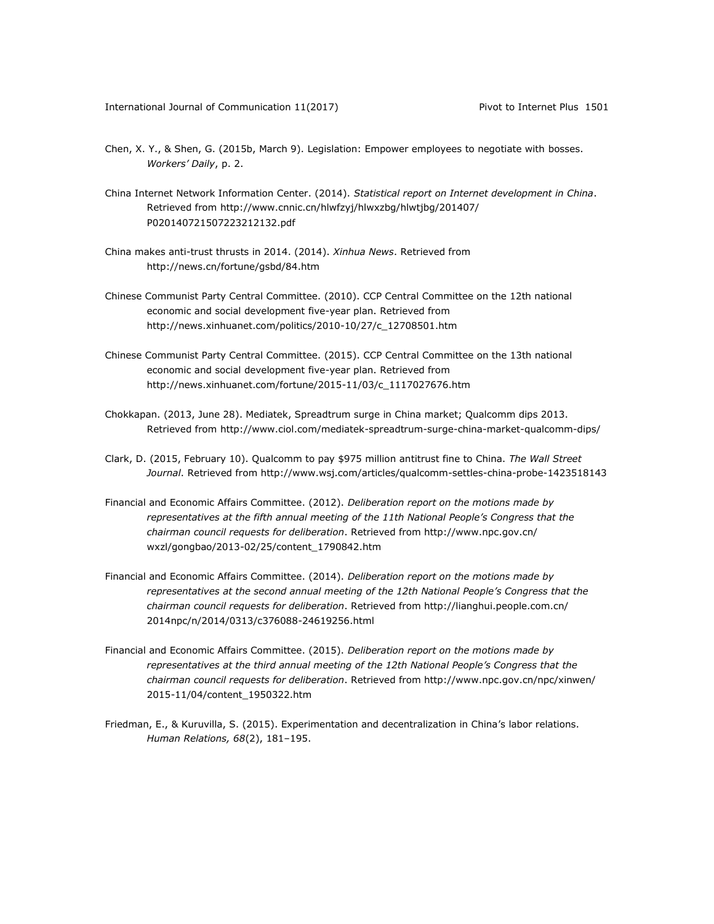- Chen, X. Y., & Shen, G. (2015b, March 9). Legislation: Empower employees to negotiate with bosses. *Workers' Daily*, p. 2.
- China Internet Network Information Center. (2014). *Statistical report on Internet development in China*. Retrieved from [http://www.cnnic.cn/hlwfzyj/hlwxzbg/hlwtjbg/201407/](http://www.cnnic.cn/hlwfzyj/hlwxzbg/hlwtjbg/201407/%0bP020140721507223212132.pdf) [P020140721507223212132.pdf](http://www.cnnic.cn/hlwfzyj/hlwxzbg/hlwtjbg/201407/%0bP020140721507223212132.pdf)
- China makes anti-trust thrusts in 2014. (2014). *Xinhua News*. Retrieved from <http://news.cn/fortune/gsbd/84.htm>
- Chinese Communist Party Central Committee. (2010). CCP Central Committee on the 12th national economic and social development five-year plan. Retrieved from [http://news.xinhuanet.com/politics/2010-10/27/c\\_12708501.htm](http://news.xinhuanet.com/politics/2010-10/27/c_12708501.htm)
- Chinese Communist Party Central Committee. (2015). CCP Central Committee on the 13th national economic and social development five-year plan. Retrieved from [http://news.xinhuanet.com/fortune/2015-11/03/c\\_1117027676.htm](http://news.xinhuanet.com/fortune/2015-11/03/c_1117027676.htm)
- Chokkapan. (2013, June 28). Mediatek, Spreadtrum surge in China market; Qualcomm dips 2013. Retrieved from<http://www.ciol.com/mediatek-spreadtrum-surge-china-market-qualcomm-dips/>
- Clark, D. (2015, February 10). Qualcomm to pay \$975 million antitrust fine to China. *The Wall Street Journal*. Retrieved from<http://www.wsj.com/articles/qualcomm-settles-china-probe-1423518143>
- Financial and Economic Affairs Committee. (2012). *Deliberation report on the motions made by representatives at the fifth annual meeting of the 11th National People's Congress that the chairman council requests for deliberation*. Retrieved fro[m http://www.npc.gov.cn/](http://www.npc.gov.cn/%0bwxzl/gongbao/2013-02/25/content_1790842.htm) [wxzl/gongbao/2013-02/25/content\\_1790842.htm](http://www.npc.gov.cn/%0bwxzl/gongbao/2013-02/25/content_1790842.htm)
- Financial and Economic Affairs Committee. (2014). *Deliberation report on the motions made by representatives at the second annual meeting of the 12th National People's Congress that the chairman council requests for deliberation*. Retrieved fro[m http://lianghui.people.com.cn/](http://lianghui.people.com.cn/%0b2014npc/n/2014/0313/c376088-24619256.html) [2014npc/n/2014/0313/c376088-24619256.html](http://lianghui.people.com.cn/%0b2014npc/n/2014/0313/c376088-24619256.html)
- Financial and Economic Affairs Committee. (2015). *Deliberation report on the motions made by representatives at the third annual meeting of the 12th National People's Congress that the chairman council requests for deliberation*. Retrieved fro[m http://www.npc.gov.cn/npc/xinwen/](http://www.npc.gov.cn/npc/xinwen/%0b2015-11/04/content_1950322.htm) [2015-11/04/content\\_1950322.htm](http://www.npc.gov.cn/npc/xinwen/%0b2015-11/04/content_1950322.htm)
- Friedman, E., & Kuruvilla, S. (2015). Experimentation and decentralization in China's labor relations. *Human Relations, 68*(2), 181–195.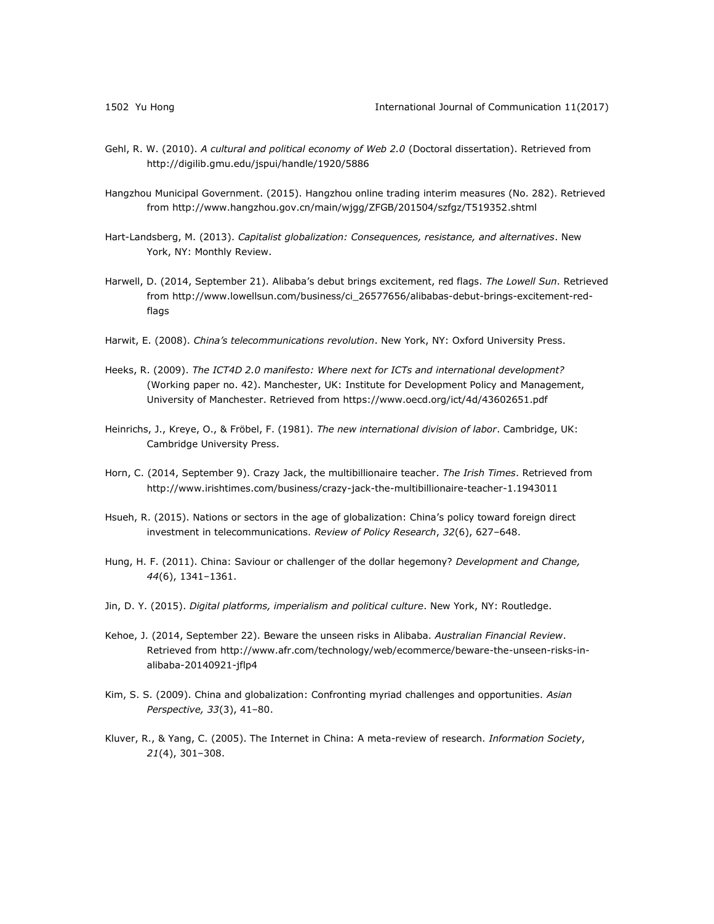- Gehl, R. W. (2010). *A cultural and political economy of Web 2.0* (Doctoral dissertation). Retrieved from <http://digilib.gmu.edu/jspui/handle/1920/5886>
- Hangzhou Municipal Government. (2015). Hangzhou online trading interim measures (No. 282). Retrieved from<http://www.hangzhou.gov.cn/main/wjgg/ZFGB/201504/szfgz/T519352.shtml>
- Hart-Landsberg, M. (2013). *Capitalist globalization: Consequences, resistance, and alternatives*. New York, NY: Monthly Review.
- Harwell, D. (2014, September 21). Alibaba's debut brings excitement, red flags. *The Lowell Sun*. Retrieved from [http://www.lowellsun.com/business/ci\\_26577656/alibabas-debut-brings-excitement-red](http://www.lowellsun.com/business/ci_26577656/alibabas-debut-brings-excitement-red-flags)[flags](http://www.lowellsun.com/business/ci_26577656/alibabas-debut-brings-excitement-red-flags)
- Harwit, E. (2008). *China's telecommunications revolution*. New York, NY: Oxford University Press.
- Heeks, R. (2009). *The ICT4D 2.0 manifesto: Where next for ICTs and international development?* (Working paper no. 42). Manchester, UK: Institute for Development Policy and Management, University of Manchester. Retrieved from https://www.oecd.org/ict/4d/43602651.pdf
- Heinrichs, J., Kreye, O., & Fröbel, F. (1981). *The new international division of labor*. Cambridge, UK: Cambridge University Press.
- Horn, C. (2014, September 9). Crazy Jack, the multibillionaire teacher. *The Irish Times*. Retrieved from <http://www.irishtimes.com/business/crazy-jack-the-multibillionaire-teacher-1.1943011>
- Hsueh, R. (2015). Nations or sectors in the age of globalization: China's policy toward foreign direct investment in telecommunications. *Review of Policy Research*, *32*(6), 627–648.
- Hung, H. F. (2011). China: Saviour or challenger of the dollar hegemony? *Development and Change, 44*(6), 1341–1361.
- Jin, D. Y. (2015). *Digital platforms, imperialism and political culture*. New York, NY: Routledge.
- Kehoe, J. (2014, September 22). Beware the unseen risks in Alibaba. *Australian Financial Review*. Retrieved from [http://www.afr.com/technology/web/ecommerce/beware-the-unseen-risks-in](http://www.afr.com/technology/web/ecommerce/beware-the-unseen-risks-in-alibaba-20140921-jflp4)[alibaba-20140921-jflp4](http://www.afr.com/technology/web/ecommerce/beware-the-unseen-risks-in-alibaba-20140921-jflp4)
- Kim, S. S. (2009). China and globalization: Confronting myriad challenges and opportunities. *Asian Perspective, 33*(3), 41–80.
- Kluver, R., & Yang, C. (2005). The Internet in China: A meta-review of research. *Information Society*, *21*(4), 301–308.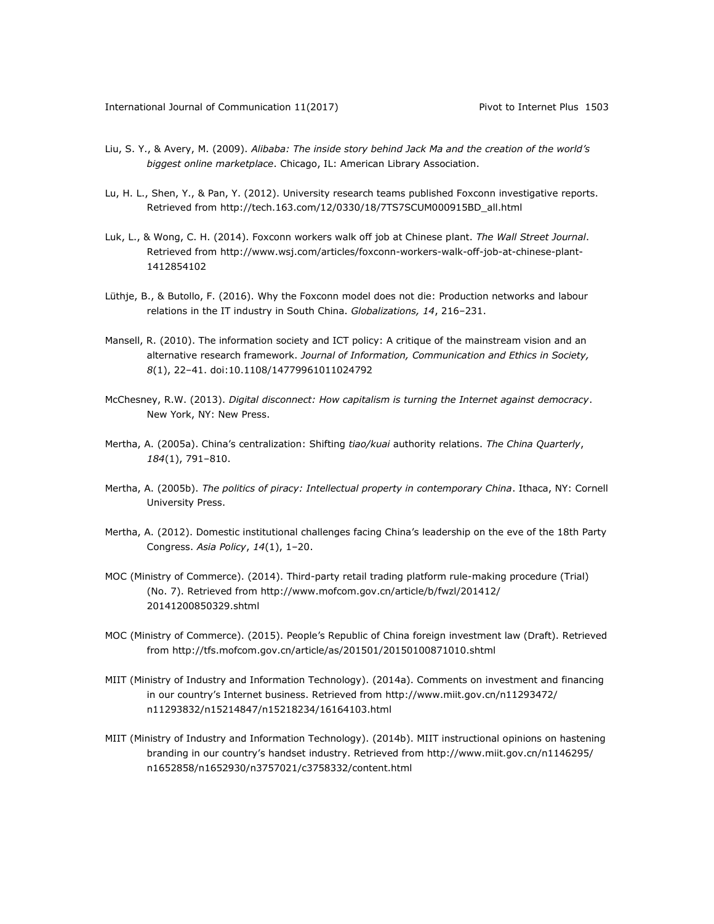- Liu, S. Y., & Avery, M. (2009). *Alibaba: The inside story behind Jack Ma and the creation of the world's biggest online marketplace*. Chicago, IL: American Library Association.
- Lu, H. L., Shen, Y., & Pan, Y. (2012). University research teams published Foxconn investigative reports. Retrieved from [http://tech.163.com/12/0330/18/7TS7SCUM000915BD\\_all.html](http://tech.163.com/12/0330/18/7TS7SCUM000915BD_all.html)
- Luk, L., & Wong, C. H. (2014). Foxconn workers walk off job at Chinese plant. *The Wall Street Journal*. Retrieved from [http://www.wsj.com/articles/foxconn-workers-walk-off-job-at-chinese-plant-](http://www.wsj.com/articles/foxconn-workers-walk-off-job-at-chinese-plant-1412854102)[1412854102](http://www.wsj.com/articles/foxconn-workers-walk-off-job-at-chinese-plant-1412854102)
- Lüthje, B., & Butollo, F. (2016). Why the Foxconn model does not die: Production networks and labour relations in the IT industry in South China. *Globalizations, 14*, 216–231.
- Mansell, R. (2010). The information society and ICT policy: A critique of the mainstream vision and an alternative research framework. *Journal of Information, Communication and Ethics in Society, 8*(1), 22–41. doi:10.1108/14779961011024792
- McChesney, R.W. (2013). *Digital disconnect: How capitalism is turning the Internet against democracy*. New York, NY: New Press.
- Mertha, A. (2005a). China's centralization: Shifting *tiao/kuai* authority relations. *The China Quarterly*, *184*(1), 791–810.
- Mertha, A. (2005b). *The politics of piracy: Intellectual property in contemporary China*. Ithaca, NY: Cornell University Press.
- Mertha, A. (2012). Domestic institutional challenges facing China's leadership on the eve of the 18th Party Congress. *Asia Policy*, *14*(1), 1–20.
- MOC (Ministry of Commerce). (2014). Third-party retail trading platform rule-making procedure (Trial) (No. 7). Retrieved from [http://www.mofcom.gov.cn/article/b/fwzl/201412/](http://www.mofcom.gov.cn/article/b/fwzl/201412/%0b20141200850329.shtml) [20141200850329.shtml](http://www.mofcom.gov.cn/article/b/fwzl/201412/%0b20141200850329.shtml)
- MOC (Ministry of Commerce). (2015). People's Republic of China foreign investment law (Draft). Retrieved from<http://tfs.mofcom.gov.cn/article/as/201501/20150100871010.shtml>
- MIIT (Ministry of Industry and Information Technology). (2014a). Comments on investment and financing in our country's Internet business. Retrieved from [http://www.miit.gov.cn/n11293472/](http://www.miit.gov.cn/n11293472/%0bn11293832/n15214847/n15218234/16164103.html) [n11293832/n15214847/n15218234/16164103.html](http://www.miit.gov.cn/n11293472/%0bn11293832/n15214847/n15218234/16164103.html)
- MIIT (Ministry of Industry and Information Technology). (2014b). MIIT instructional opinions on hastening branding in our country's handset industry. Retrieved from [http://www.miit.gov.cn/n1146295/](http://www.miit.gov.cn/n1146295/%0bn1652858/n1652930/n3757021/c3758332/content.html) [n1652858/n1652930/n3757021/c3758332/content.html](http://www.miit.gov.cn/n1146295/%0bn1652858/n1652930/n3757021/c3758332/content.html)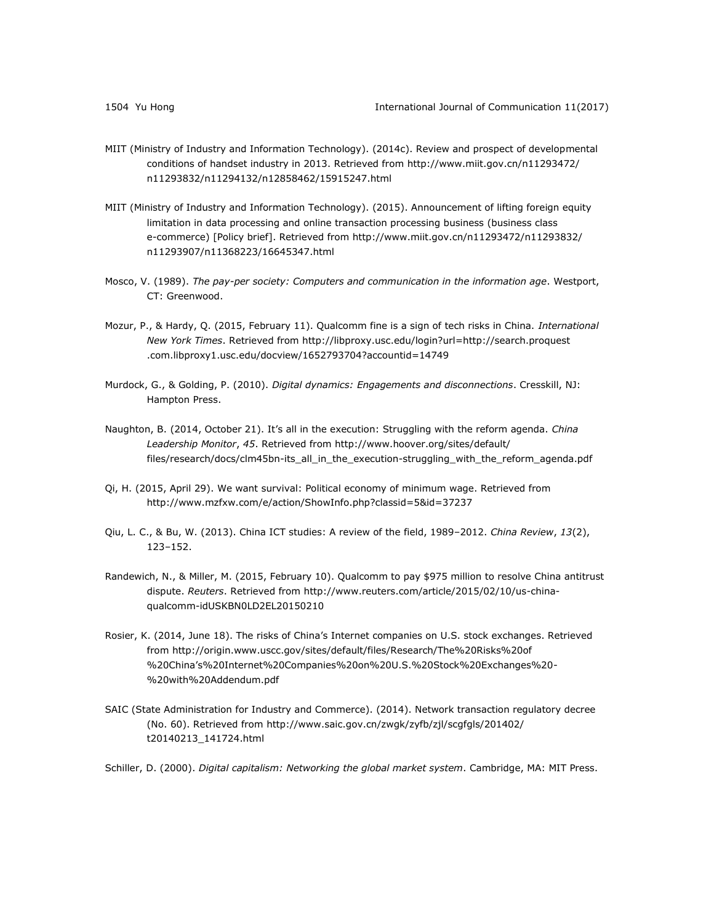- MIIT (Ministry of Industry and Information Technology). (2014c). Review and prospect of developmental conditions of handset industry in 2013. Retrieved from [http://www.miit.gov.cn/n11293472/](http://www.miit.gov.cn/n11293472/%0bn11293832/n11294132/n12858462/15915247.html) [n11293832/n11294132/n12858462/15915247.html](http://www.miit.gov.cn/n11293472/%0bn11293832/n11294132/n12858462/15915247.html)
- MIIT (Ministry of Industry and Information Technology). (2015). Announcement of lifting foreign equity limitation in data processing and online transaction processing business (business class e-commerce) [Policy brief]. Retrieved from [http://www.miit.gov.cn/n11293472/n11293832/](http://www.miit.gov.cn/n11293472/n11293832/%0bn11293907/n11368223/16645347.html) [n11293907/n11368223/16645347.html](http://www.miit.gov.cn/n11293472/n11293832/%0bn11293907/n11368223/16645347.html)
- Mosco, V. (1989). *The pay-per society: Computers and communication in the information age*. Westport, CT: Greenwood.
- Mozur, P., & Hardy, Q. (2015, February 11). Qualcomm fine is a sign of tech risks in China. *International New York Times*. Retrieved from [http://libproxy.usc.edu/login?url=http://search.proquest](http://libproxy.usc.edu/login?url=http://search.proquest%0b.com.libproxy1.usc.edu/docview/1652793704?accountid=14749) [.com.libproxy1.usc.edu/docview/1652793704?accountid=14749](http://libproxy.usc.edu/login?url=http://search.proquest%0b.com.libproxy1.usc.edu/docview/1652793704?accountid=14749)
- Murdock, G., & Golding, P. (2010). *Digital dynamics: Engagements and disconnections*. Cresskill, NJ: Hampton Press.
- Naughton, B. (2014, October 21). It's all in the execution: Struggling with the reform agenda. *China Leadership Monitor*, *45*. Retrieved from [http://www.hoover.org/sites/default/](http://www.hoover.org/sites/default/%0bfiles/research/docs/clm45bn-its_all_in_the_execution-struggling_with_the_reform_agenda.pdf) [files/research/docs/clm45bn-its\\_all\\_in\\_the\\_execution-struggling\\_with\\_the\\_reform\\_agenda.pdf](http://www.hoover.org/sites/default/%0bfiles/research/docs/clm45bn-its_all_in_the_execution-struggling_with_the_reform_agenda.pdf)
- Qi, H. (2015, April 29). We want survival: Political economy of minimum wage. Retrieved from <http://www.mzfxw.com/e/action/ShowInfo.php?classid=5&id=37237>
- Qiu, L. C., & Bu, W. (2013). China ICT studies: A review of the field, 1989–2012. *China Review*, *13*(2), 123–152.
- Randewich, N., & Miller, M. (2015, February 10). Qualcomm to pay \$975 million to resolve China antitrust dispute. *Reuters*. Retrieved from [http://www.reuters.com/article/2015/02/10/us-china](http://www.reuters.com/article/2015/02/10/us-china-qualcomm-idUSKBN0LD2EL20150210)[qualcomm-idUSKBN0LD2EL20150210](http://www.reuters.com/article/2015/02/10/us-china-qualcomm-idUSKBN0LD2EL20150210)
- Rosier, K. (2014, June 18). The risks of China's Internet companies on U.S. stock exchanges. Retrieved from [http://origin.www.uscc.gov/sites/default/files/Research/The%20Risks%20of](http://origin.www.uscc.gov/sites/default/files/Research/The%20Risks%20of%0b%20China) %20China'[s%20Internet%20Companies%20on%20U.S.%20Stock%20Exchanges%20-](http://origin.www.uscc.gov/sites/default/files/Research/The%20Risks%20of%0b%20China) [%20with%20Addendum.pdf](http://origin.www.uscc.gov/sites/default/files/Research/The%20Risks%20of%0b%20China)
- SAIC (State Administration for Industry and Commerce). (2014). Network transaction regulatory decree (No. 60). Retrieved from [http://www.saic.gov.cn/zwgk/zyfb/zjl/scgfgls/201402/](http://www.saic.gov.cn/zwgk/zyfb/zjl/scgfgls/201402/%0bt20140213_141724.html) [t20140213\\_141724.html](http://www.saic.gov.cn/zwgk/zyfb/zjl/scgfgls/201402/%0bt20140213_141724.html)
- Schiller, D. (2000). *Digital capitalism: Networking the global market system*. Cambridge, MA: MIT Press.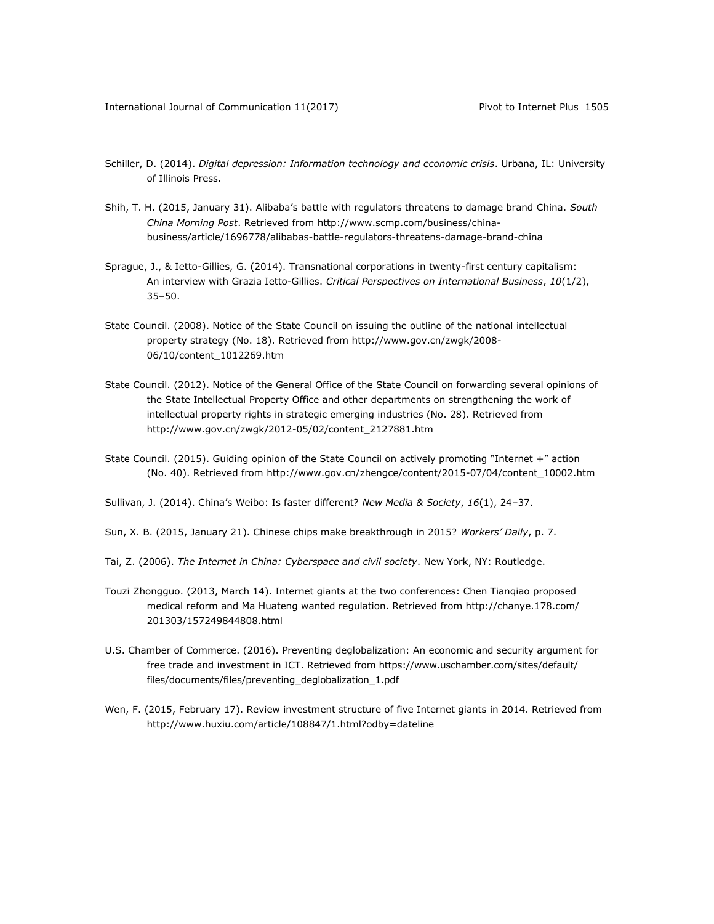- Schiller, D. (2014). *Digital depression: Information technology and economic crisis*. Urbana, IL: University of Illinois Press.
- Shih, T. H. (2015, January 31). Alibaba's battle with regulators threatens to damage brand China. *South China Morning Post*. Retrieved from [http://www.scmp.com/business/china](http://www.scmp.com/business/china-business/article/1696778/alibabas-battle-regulators-threatens-damage-brand-china)[business/article/1696778/alibabas-battle-regulators-threatens-damage-brand-china](http://www.scmp.com/business/china-business/article/1696778/alibabas-battle-regulators-threatens-damage-brand-china)
- Sprague, J., & Ietto-Gillies, G. (2014). Transnational corporations in twenty-first century capitalism: An interview with Grazia Ietto-Gillies. *Critical Perspectives on International Business*, *10*(1/2), 35–50.
- State Council. (2008). Notice of the State Council on issuing the outline of the national intellectual property strategy (No. 18). Retrieved from [http://www.gov.cn/zwgk/2008-](http://www.gov.cn/zwgk/2008-06/10/content_1012269.htm) [06/10/content\\_1012269.htm](http://www.gov.cn/zwgk/2008-06/10/content_1012269.htm)
- State Council. (2012). Notice of the General Office of the State Council on forwarding several opinions of the State Intellectual Property Office and other departments on strengthening the work of intellectual property rights in strategic emerging industries (No. 28). Retrieved from [http://www.gov.cn/zwgk/2012-05/02/content\\_2127881.htm](http://www.gov.cn/zwgk/2012-05/02/content_2127881.htm)
- State Council. (2015). Guiding opinion of the State Council on actively promoting "Internet +" action (No. 40). Retrieved from [http://www.gov.cn/zhengce/content/2015-07/04/content\\_10002.htm](http://www.gov.cn/zhengce/content/2015-07/04/content_10002.htm)
- Sullivan, J. (2014). China's Weibo: Is faster different? *New Media & Society*, *16*(1), 24–37.
- Sun, X. B. (2015, January 21). Chinese chips make breakthrough in 2015? *Workers' Daily*, p. 7.
- Tai, Z. (2006). *The Internet in China: Cyberspace and civil society*. New York, NY: Routledge.
- Touzi Zhongguo. (2013, March 14). Internet giants at the two conferences: Chen Tianqiao proposed medical reform and Ma Huateng wanted regulation. Retrieved from [http://chanye.178.com/](http://chanye.178.com/%0b201303/157249844808.html) [201303/157249844808.html](http://chanye.178.com/%0b201303/157249844808.html)
- U.S. Chamber of Commerce. (2016). Preventing deglobalization: An economic and security argument for free trade and investment in ICT. Retrieved fro[m https://www.uschamber.com/sites/default/](https://www.uschamber.com/sites/default/%0bfiles/documents/files/preventing_deglobalization_1.pdf) [files/documents/files/preventing\\_deglobalization\\_1.pdf](https://www.uschamber.com/sites/default/%0bfiles/documents/files/preventing_deglobalization_1.pdf)
- Wen, F. (2015, February 17). Review investment structure of five Internet giants in 2014. Retrieved from <http://www.huxiu.com/article/108847/1.html?odby=dateline>